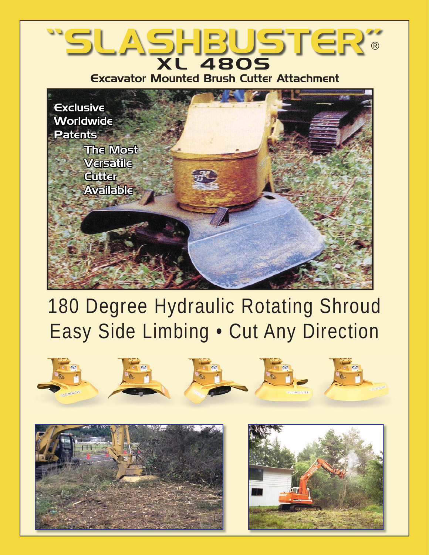### "SLASHBUSTER" XL 480S ®

Excavator Mounted Brush Cutter Attachment



# 180 Degree Hydraulic Rotating Shroud Easy Side Limbing • Cut Any Direction